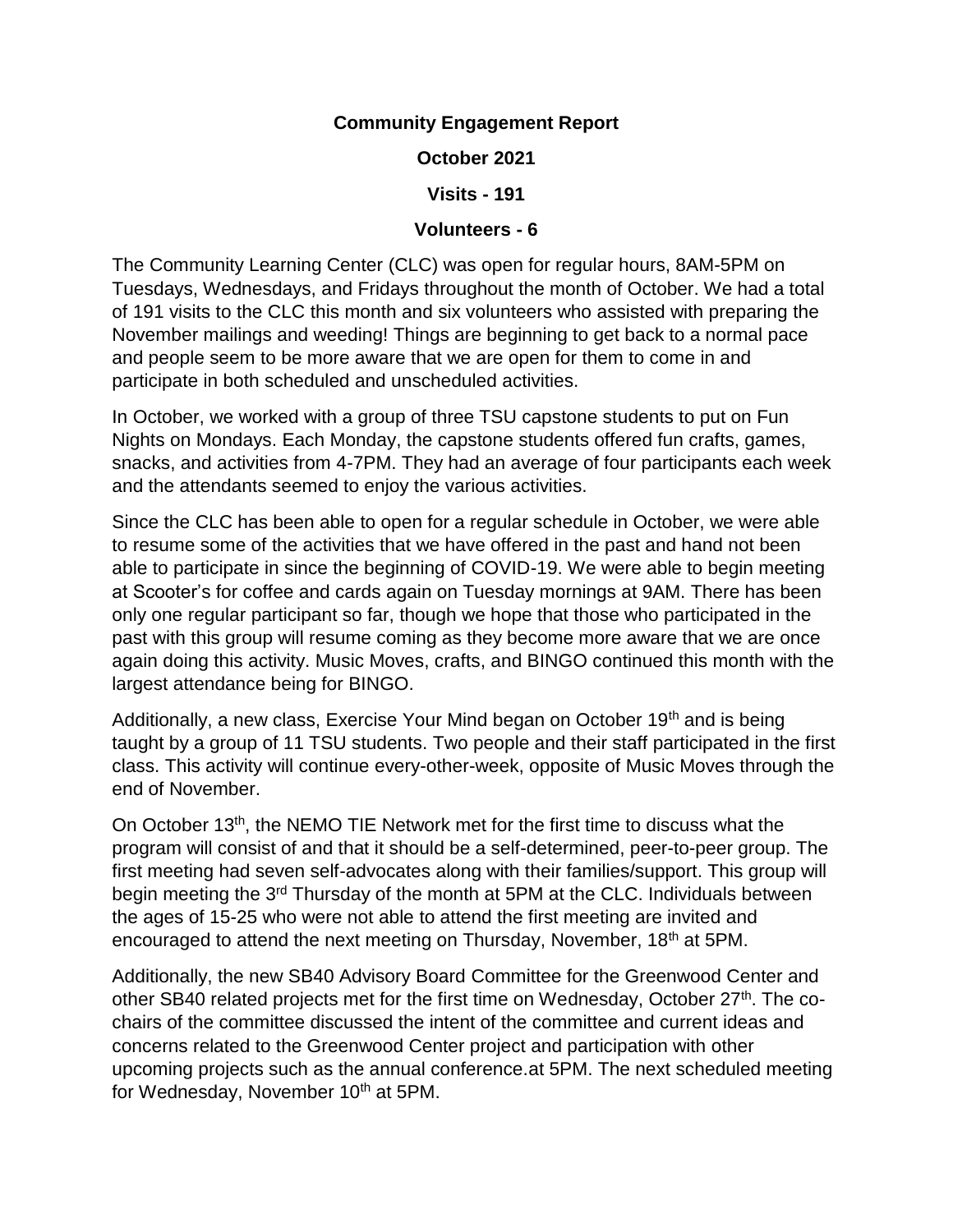## **Community Engagement Report**

**October 2021**

**Visits - 191**

## **Volunteers - 6**

The Community Learning Center (CLC) was open for regular hours, 8AM-5PM on Tuesdays, Wednesdays, and Fridays throughout the month of October. We had a total of 191 visits to the CLC this month and six volunteers who assisted with preparing the November mailings and weeding! Things are beginning to get back to a normal pace and people seem to be more aware that we are open for them to come in and participate in both scheduled and unscheduled activities.

In October, we worked with a group of three TSU capstone students to put on Fun Nights on Mondays. Each Monday, the capstone students offered fun crafts, games, snacks, and activities from 4-7PM. They had an average of four participants each week and the attendants seemed to enjoy the various activities.

Since the CLC has been able to open for a regular schedule in October, we were able to resume some of the activities that we have offered in the past and hand not been able to participate in since the beginning of COVID-19. We were able to begin meeting at Scooter's for coffee and cards again on Tuesday mornings at 9AM. There has been only one regular participant so far, though we hope that those who participated in the past with this group will resume coming as they become more aware that we are once again doing this activity. Music Moves, crafts, and BINGO continued this month with the largest attendance being for BINGO.

Additionally, a new class, Exercise Your Mind began on October 19<sup>th</sup> and is being taught by a group of 11 TSU students. Two people and their staff participated in the first class. This activity will continue every-other-week, opposite of Music Moves through the end of November.

On October 13th, the NEMO TIE Network met for the first time to discuss what the program will consist of and that it should be a self-determined, peer-to-peer group. The first meeting had seven self-advocates along with their families/support. This group will begin meeting the 3rd Thursday of the month at 5PM at the CLC. Individuals between the ages of 15-25 who were not able to attend the first meeting are invited and encouraged to attend the next meeting on Thursday, November, 18<sup>th</sup> at 5PM.

Additionally, the new SB40 Advisory Board Committee for the Greenwood Center and other SB40 related projects met for the first time on Wednesday, October 27<sup>th</sup>. The cochairs of the committee discussed the intent of the committee and current ideas and concerns related to the Greenwood Center project and participation with other upcoming projects such as the annual conference.at 5PM. The next scheduled meeting for Wednesday, November 10<sup>th</sup> at 5PM.